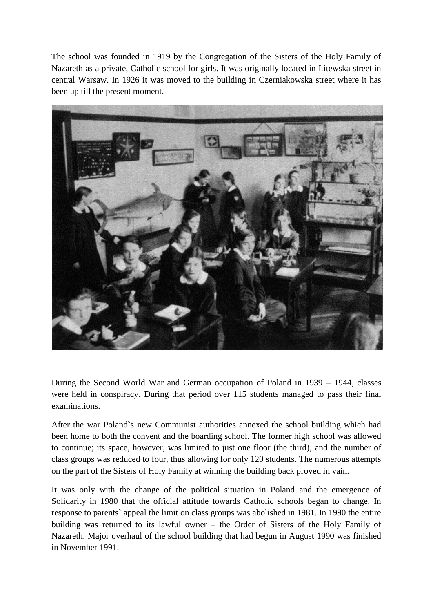The school was founded in 1919 by the Congregation of the Sisters of the Holy Family of Nazareth as a private, Catholic school for girls. It was originally located in Litewska street in central Warsaw. In 1926 it was moved to the building in Czerniakowska street where it has been up till the present moment.



During the Second World War and German occupation of Poland in 1939 – 1944, classes were held in conspiracy. During that period over 115 students managed to pass their final examinations.

After the war Poland`s new Communist authorities annexed the school building which had been home to both the convent and the boarding school. The former high school was allowed to continue; its space, however, was limited to just one floor (the third), and the number of class groups was reduced to four, thus allowing for only 120 students. The numerous attempts on the part of the Sisters of Holy Family at winning the building back proved in vain.

It was only with the change of the political situation in Poland and the emergence of Solidarity in 1980 that the official attitude towards Catholic schools began to change. In response to parents` appeal the limit on class groups was abolished in 1981. In 1990 the entire building was returned to its lawful owner – the Order of Sisters of the Holy Family of Nazareth. Major overhaul of the school building that had begun in August 1990 was finished in November 1991.